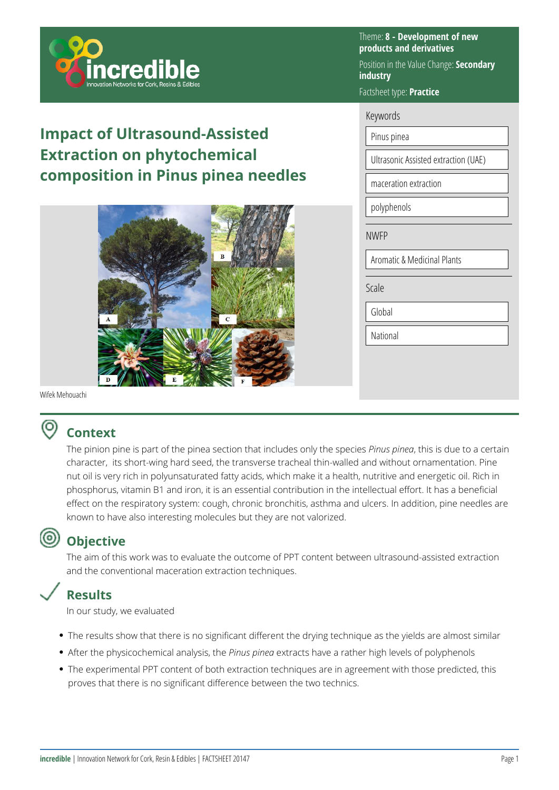

# **Impact of Ultrasound-Assisted Extraction on phytochemical composition in Pinus pinea needles**



Theme: **8 - Development of new products and derivatives** 

Position in the Value Change: **Secondary industry** 

Factsheet type: **Practice** 

#### Keywords

Pinus pinea

Ultrasonic Assisted extraction (UAE)

maceration extraction

polyphenols

NWFP

Aromatic & Medicinal Plants

Scale

Global

National

Wifek Mehouachi

#### ൫ **Context**

The pinion pine is part of the pinea section that includes only the species *Pinus pinea*, this is due to a certain character, its short-wing hard seed, the transverse tracheal thin-walled and without ornamentation. Pine nut oil is very rich in polyunsaturated fatty acids, which make it a health, nutritive and energetic oil. Rich in phosphorus, vitamin B1 and iron, it is an essential contribution in the intellectual effort. It has a beneficial effect on the respiratory system: cough, chronic bronchitis, asthma and ulcers. In addition, pine needles are known to have also interesting molecules but they are not valorized.

## **Objective**

The aim of this work was to evaluate the outcome of PPT content between ultrasound-assisted extraction and the conventional maceration extraction techniques.

### **Results**

In our study, we evaluated

- The results show that there is no significant different the drying technique as the yields are almost similar
- After the physicochemical analysis, the *Pinus pinea* extracts have a rather high levels of polyphenols
- The experimental PPT content of both extraction techniques are in agreement with those predicted, this proves that there is no significant difference between the two technics.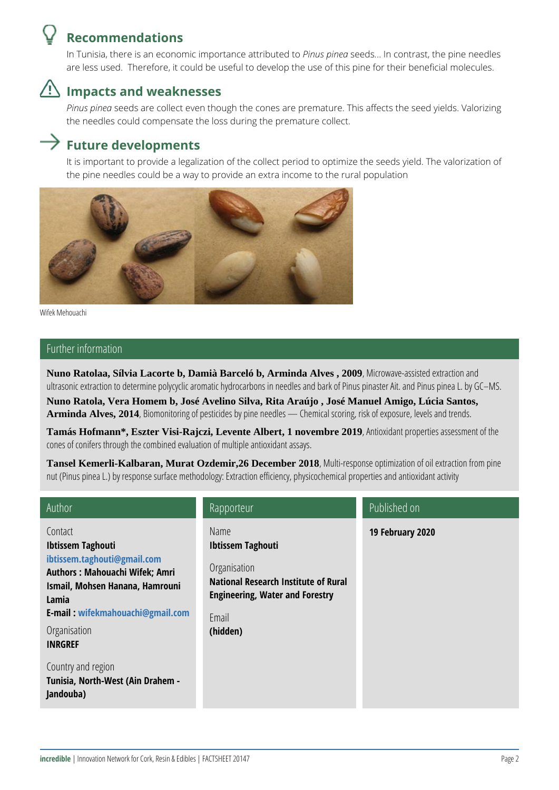

### **Recommendations**

In Tunisia, there is an economic importance attributed to *Pinus pinea* seeds*.*.. In contrast, the pine needles are less used. Therefore, it could be useful to develop the use of this pine for their beneficial molecules.



### **Impacts and weaknesses**

*Pinus pinea* seeds are collect even though the cones are premature. This affects the seed yields. Valorizing the needles could compensate the loss during the premature collect.

### **Future developments**

It is important to provide a legalization of the collect period to optimize the seeds yield. The valorization of the pine needles could be a way to provide an extra income to the rural population



Wifek Mehouachi

#### Further information

**Nuno Ratolaa, Sílvia Lacorte b, Damià Barceló b, Arminda Alves , 2009**, Microwave-assisted extraction and ultrasonic extraction to determine polycyclic aromatic hydrocarbons in needles and bark of Pinus pinaster Ait. and Pinus pinea L. by GC–MS.

**Nuno Ratola, Vera Homem b, José Avelino Silva, Rita Araújo , José Manuel Amigo, Lúcia Santos,**  Arminda Alves, 2014, Biomonitoring of pesticides by pine needles — Chemical scoring, risk of exposure, levels and trends.

**Tamás Hofmann\*, Eszter Visi-Rajczi, Levente Albert, 1 novembre 2019**, Antioxidant properties assessment of the cones of conifers through the combined evaluation of multiple antioxidant assays.

**Tansel Kemerli-Kalbaran, Murat Ozdemir,26 December 2018**, Multi-response optimization of oil extraction from pine nut (Pinus pinea L.) by response surface methodology: Extraction efficiency, physicochemical properties and antioxidant activity

| Author                                                                                                                                                                                                                        | Rapporteur                                                                                                                                                     | Published on     |
|-------------------------------------------------------------------------------------------------------------------------------------------------------------------------------------------------------------------------------|----------------------------------------------------------------------------------------------------------------------------------------------------------------|------------------|
| Contact<br><b>Ibtissem Taghouti</b><br>ibtissem.taghouti@gmail.com<br><b>Authors: Mahouachi Wifek; Amri</b><br>Ismail, Mohsen Hanana, Hamrouni<br>Lamia<br>E-mail: wifekmahouachi@gmail.com<br>Organisation<br><b>INRGREF</b> | Name<br><b>Ibtissem Taghouti</b><br>Organisation<br><b>National Research Institute of Rural</b><br><b>Engineering, Water and Forestry</b><br>Email<br>(hidden) | 19 February 2020 |
| Country and region<br>Tunisia, North-West (Ain Drahem -<br>Jandouba)                                                                                                                                                          |                                                                                                                                                                |                  |